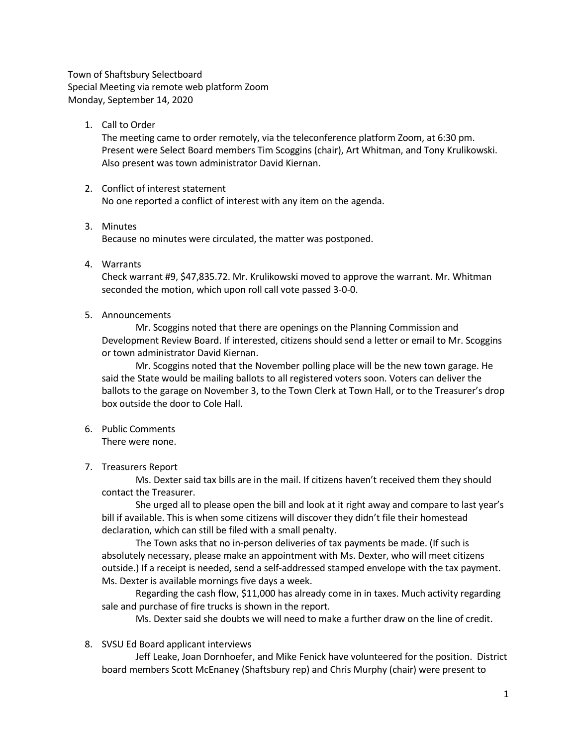Town of Shaftsbury Selectboard Special Meeting via remote web platform Zoom Monday, September 14, 2020

1. Call to Order

The meeting came to order remotely, via the teleconference platform Zoom, at 6:30 pm. Present were Select Board members Tim Scoggins (chair), Art Whitman, and Tony Krulikowski. Also present was town administrator David Kiernan.

- 2. Conflict of interest statement No one reported a conflict of interest with any item on the agenda.
- 3. Minutes Because no minutes were circulated, the matter was postponed.
- 4. Warrants

Check warrant #9, \$47,835.72. Mr. Krulikowski moved to approve the warrant. Mr. Whitman seconded the motion, which upon roll call vote passed 3-0-0.

5. Announcements

Mr. Scoggins noted that there are openings on the Planning Commission and Development Review Board. If interested, citizens should send a letter or email to Mr. Scoggins or town administrator David Kiernan.

Mr. Scoggins noted that the November polling place will be the new town garage. He said the State would be mailing ballots to all registered voters soon. Voters can deliver the ballots to the garage on November 3, to the Town Clerk at Town Hall, or to the Treasurer's drop box outside the door to Cole Hall.

6. Public Comments

There were none.

7. Treasurers Report

Ms. Dexter said tax bills are in the mail. If citizens haven't received them they should contact the Treasurer.

She urged all to please open the bill and look at it right away and compare to last year's bill if available. This is when some citizens will discover they didn't file their homestead declaration, which can still be filed with a small penalty.

The Town asks that no in-person deliveries of tax payments be made. (If such is absolutely necessary, please make an appointment with Ms. Dexter, who will meet citizens outside.) If a receipt is needed, send a self-addressed stamped envelope with the tax payment. Ms. Dexter is available mornings five days a week.

Regarding the cash flow, \$11,000 has already come in in taxes. Much activity regarding sale and purchase of fire trucks is shown in the report.

Ms. Dexter said she doubts we will need to make a further draw on the line of credit.

8. SVSU Ed Board applicant interviews

Jeff Leake, Joan Dornhoefer, and Mike Fenick have volunteered for the position. District board members Scott McEnaney (Shaftsbury rep) and Chris Murphy (chair) were present to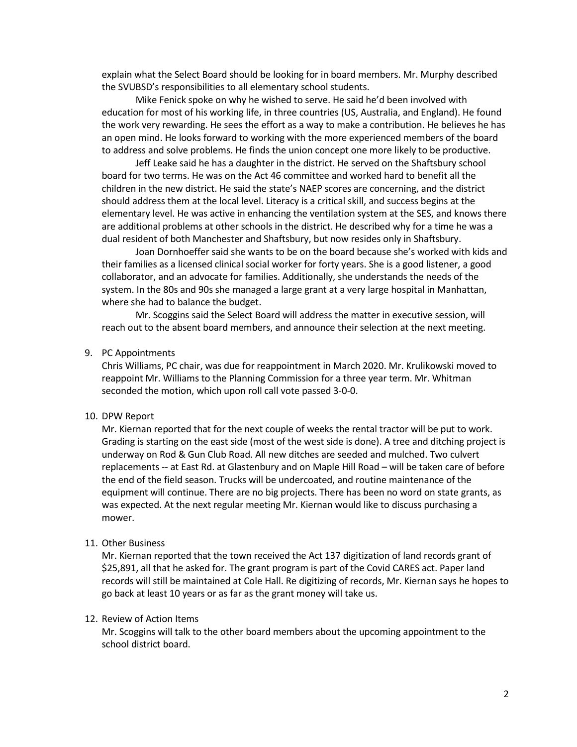explain what the Select Board should be looking for in board members. Mr. Murphy described the SVUBSD's responsibilities to all elementary school students.

Mike Fenick spoke on why he wished to serve. He said he'd been involved with education for most of his working life, in three countries (US, Australia, and England). He found the work very rewarding. He sees the effort as a way to make a contribution. He believes he has an open mind. He looks forward to working with the more experienced members of the board to address and solve problems. He finds the union concept one more likely to be productive.

Jeff Leake said he has a daughter in the district. He served on the Shaftsbury school board for two terms. He was on the Act 46 committee and worked hard to benefit all the children in the new district. He said the state's NAEP scores are concerning, and the district should address them at the local level. Literacy is a critical skill, and success begins at the elementary level. He was active in enhancing the ventilation system at the SES, and knows there are additional problems at other schools in the district. He described why for a time he was a dual resident of both Manchester and Shaftsbury, but now resides only in Shaftsbury.

Joan Dornhoeffer said she wants to be on the board because she's worked with kids and their families as a licensed clinical social worker for forty years. She is a good listener, a good collaborator, and an advocate for families. Additionally, she understands the needs of the system. In the 80s and 90s she managed a large grant at a very large hospital in Manhattan, where she had to balance the budget.

Mr. Scoggins said the Select Board will address the matter in executive session, will reach out to the absent board members, and announce their selection at the next meeting.

## 9. PC Appointments

Chris Williams, PC chair, was due for reappointment in March 2020. Mr. Krulikowski moved to reappoint Mr. Williams to the Planning Commission for a three year term. Mr. Whitman seconded the motion, which upon roll call vote passed 3-0-0.

## 10. DPW Report

Mr. Kiernan reported that for the next couple of weeks the rental tractor will be put to work. Grading is starting on the east side (most of the west side is done). A tree and ditching project is underway on Rod & Gun Club Road. All new ditches are seeded and mulched. Two culvert replacements -- at East Rd. at Glastenbury and on Maple Hill Road – will be taken care of before the end of the field season. Trucks will be undercoated, and routine maintenance of the equipment will continue. There are no big projects. There has been no word on state grants, as was expected. At the next regular meeting Mr. Kiernan would like to discuss purchasing a mower.

## 11. Other Business

Mr. Kiernan reported that the town received the Act 137 digitization of land records grant of \$25,891, all that he asked for. The grant program is part of the Covid CARES act. Paper land records will still be maintained at Cole Hall. Re digitizing of records, Mr. Kiernan says he hopes to go back at least 10 years or as far as the grant money will take us.

## 12. Review of Action Items

Mr. Scoggins will talk to the other board members about the upcoming appointment to the school district board.